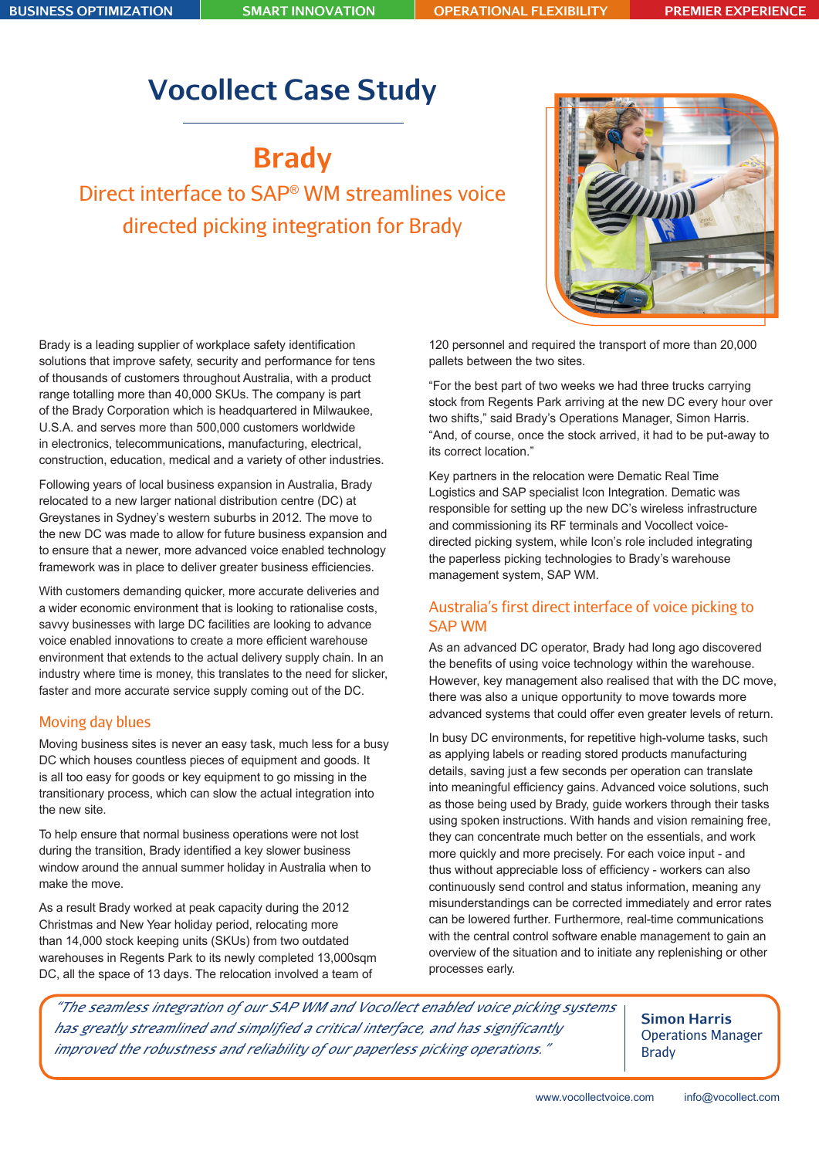**BUSINESS OPTIMIZATION SMART INNOVATION OPERATIONAL FLEXIBILITY PREMIER EXPERIENCE**

# **Vocollect Case Study**

**Brady**

Direct interface to SAP® WM streamlines voice directed picking integration for Brady



Brady is a leading supplier of workplace safety identification solutions that improve safety, security and performance for tens of thousands of customers throughout Australia, with a product range totalling more than 40,000 SKUs. The company is part of the Brady Corporation which is headquartered in Milwaukee, U.S.A. and serves more than 500,000 customers worldwide in electronics, telecommunications, manufacturing, electrical, construction, education, medical and a variety of other industries.

Following years of local business expansion in Australia, Brady relocated to a new larger national distribution centre (DC) at Greystanes in Sydney's western suburbs in 2012. The move to the new DC was made to allow for future business expansion and to ensure that a newer, more advanced voice enabled technology framework was in place to deliver greater business efficiencies.

With customers demanding quicker, more accurate deliveries and a wider economic environment that is looking to rationalise costs, savvy businesses with large DC facilities are looking to advance voice enabled innovations to create a more efficient warehouse environment that extends to the actual delivery supply chain. In an industry where time is money, this translates to the need for slicker, faster and more accurate service supply coming out of the DC.

### Moving day blues

Moving business sites is never an easy task, much less for a busy DC which houses countless pieces of equipment and goods. It is all too easy for goods or key equipment to go missing in the transitionary process, which can slow the actual integration into the new site.

To help ensure that normal business operations were not lost during the transition, Brady identified a key slower business window around the annual summer holiday in Australia when to make the move.

As a result Brady worked at peak capacity during the 2012 Christmas and New Year holiday period, relocating more than 14,000 stock keeping units (SKUs) from two outdated warehouses in Regents Park to its newly completed 13,000sqm DC, all the space of 13 days. The relocation involved a team of

120 personnel and required the transport of more than 20,000 pallets between the two sites.

"For the best part of two weeks we had three trucks carrying stock from Regents Park arriving at the new DC every hour over two shifts," said Brady's Operations Manager, Simon Harris. "And, of course, once the stock arrived, it had to be put-away to its correct location."

Key partners in the relocation were Dematic Real Time Logistics and SAP specialist Icon Integration. Dematic was responsible for setting up the new DC's wireless infrastructure and commissioning its RF terminals and Vocollect voicedirected picking system, while Icon's role included integrating the paperless picking technologies to Brady's warehouse management system, SAP WM.

### Australia's first direct interface of voice picking to SAP WM

As an advanced DC operator, Brady had long ago discovered the benefits of using voice technology within the warehouse. However, key management also realised that with the DC move, there was also a unique opportunity to move towards more advanced systems that could offer even greater levels of return.

In busy DC environments, for repetitive high-volume tasks, such as applying labels or reading stored products manufacturing details, saving just a few seconds per operation can translate into meaningful efficiency gains. Advanced voice solutions, such as those being used by Brady, guide workers through their tasks using spoken instructions. With hands and vision remaining free, they can concentrate much better on the essentials, and work more quickly and more precisely. For each voice input - and thus without appreciable loss of efficiency - workers can also continuously send control and status information, meaning any misunderstandings can be corrected immediately and error rates can be lowered further. Furthermore, real-time communications with the central control software enable management to gain an overview of the situation and to initiate any replenishing or other processes early.

*"The seamless integration of our SAP WM and Vocollect enabled voice picking systems has greatly streamlined and simplified a critical interface, and has significantly improved the robustness and reliability of our paperless picking operations."*

**Simon Harris** Operations Manager Brady